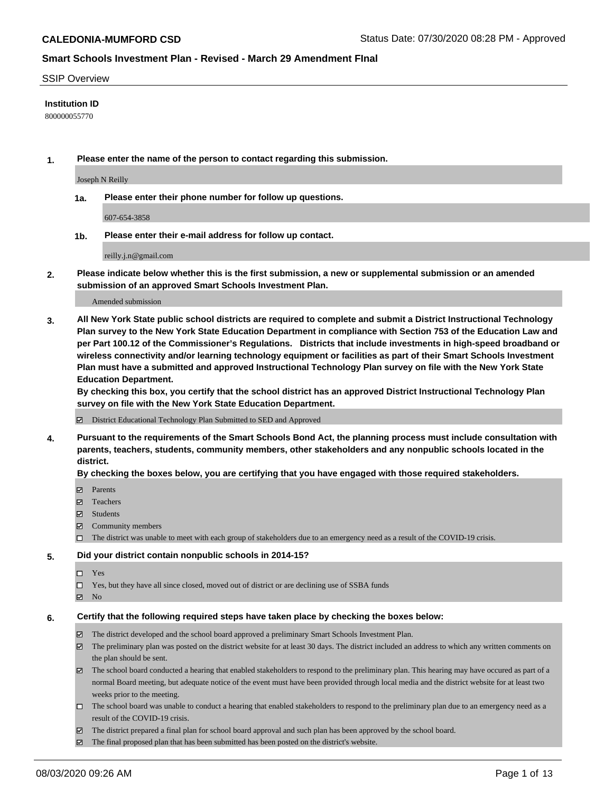#### SSIP Overview

#### **Institution ID**

800000055770

**1. Please enter the name of the person to contact regarding this submission.**

Joseph N Reilly

**1a. Please enter their phone number for follow up questions.**

607-654-3858

**1b. Please enter their e-mail address for follow up contact.**

reilly.j.n@gmail.com

**2. Please indicate below whether this is the first submission, a new or supplemental submission or an amended submission of an approved Smart Schools Investment Plan.**

#### Amended submission

**3. All New York State public school districts are required to complete and submit a District Instructional Technology Plan survey to the New York State Education Department in compliance with Section 753 of the Education Law and per Part 100.12 of the Commissioner's Regulations. Districts that include investments in high-speed broadband or wireless connectivity and/or learning technology equipment or facilities as part of their Smart Schools Investment Plan must have a submitted and approved Instructional Technology Plan survey on file with the New York State Education Department.** 

**By checking this box, you certify that the school district has an approved District Instructional Technology Plan survey on file with the New York State Education Department.**

District Educational Technology Plan Submitted to SED and Approved

**4. Pursuant to the requirements of the Smart Schools Bond Act, the planning process must include consultation with parents, teachers, students, community members, other stakeholders and any nonpublic schools located in the district.** 

#### **By checking the boxes below, you are certifying that you have engaged with those required stakeholders.**

- **□** Parents
- Teachers
- Students
- $\boxtimes$  Community members
- The district was unable to meet with each group of stakeholders due to an emergency need as a result of the COVID-19 crisis.

#### **5. Did your district contain nonpublic schools in 2014-15?**

- $\neg$  Yes
- Yes, but they have all since closed, moved out of district or are declining use of SSBA funds
- **Z** No

#### **6. Certify that the following required steps have taken place by checking the boxes below:**

- The district developed and the school board approved a preliminary Smart Schools Investment Plan.
- $\boxtimes$  The preliminary plan was posted on the district website for at least 30 days. The district included an address to which any written comments on the plan should be sent.
- $\boxtimes$  The school board conducted a hearing that enabled stakeholders to respond to the preliminary plan. This hearing may have occured as part of a normal Board meeting, but adequate notice of the event must have been provided through local media and the district website for at least two weeks prior to the meeting.
- The school board was unable to conduct a hearing that enabled stakeholders to respond to the preliminary plan due to an emergency need as a result of the COVID-19 crisis.
- The district prepared a final plan for school board approval and such plan has been approved by the school board.
- $\boxtimes$  The final proposed plan that has been submitted has been posted on the district's website.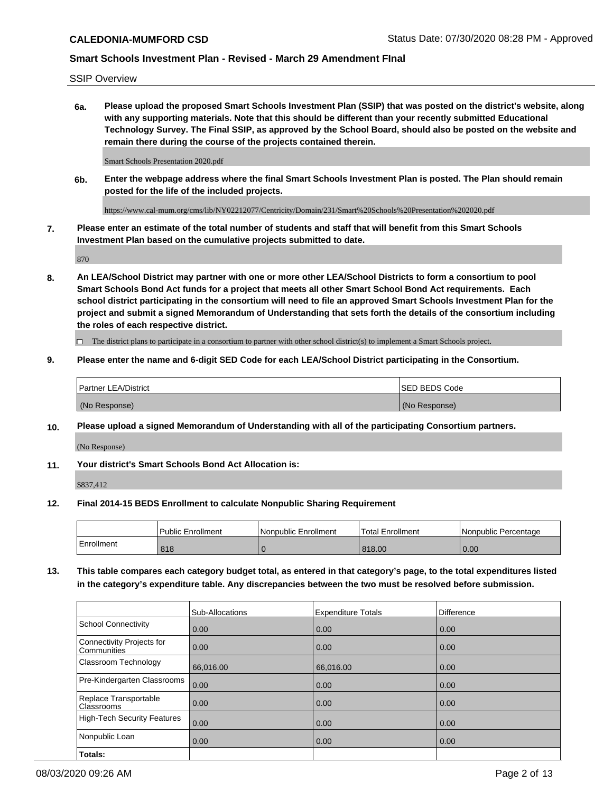SSIP Overview

**6a. Please upload the proposed Smart Schools Investment Plan (SSIP) that was posted on the district's website, along with any supporting materials. Note that this should be different than your recently submitted Educational Technology Survey. The Final SSIP, as approved by the School Board, should also be posted on the website and remain there during the course of the projects contained therein.**

Smart Schools Presentation 2020.pdf

**6b. Enter the webpage address where the final Smart Schools Investment Plan is posted. The Plan should remain posted for the life of the included projects.**

https://www.cal-mum.org/cms/lib/NY02212077/Centricity/Domain/231/Smart%20Schools%20Presentation%202020.pdf

**7. Please enter an estimate of the total number of students and staff that will benefit from this Smart Schools Investment Plan based on the cumulative projects submitted to date.**

870

**8. An LEA/School District may partner with one or more other LEA/School Districts to form a consortium to pool Smart Schools Bond Act funds for a project that meets all other Smart School Bond Act requirements. Each school district participating in the consortium will need to file an approved Smart Schools Investment Plan for the project and submit a signed Memorandum of Understanding that sets forth the details of the consortium including the roles of each respective district.**

 $\Box$  The district plans to participate in a consortium to partner with other school district(s) to implement a Smart Schools project.

#### **9. Please enter the name and 6-digit SED Code for each LEA/School District participating in the Consortium.**

| <sup>1</sup> Partner LEA/District | <b>ISED BEDS Code</b> |
|-----------------------------------|-----------------------|
| (No Response)                     | (No Response)         |

## **10. Please upload a signed Memorandum of Understanding with all of the participating Consortium partners.**

(No Response)

**11. Your district's Smart Schools Bond Act Allocation is:**

\$837,412

#### **12. Final 2014-15 BEDS Enrollment to calculate Nonpublic Sharing Requirement**

|            | Public Enrollment | Nonpublic Enrollment | Total Enrollment | I Nonpublic Percentage |
|------------|-------------------|----------------------|------------------|------------------------|
| Enrollment | 818               |                      | 818.00           | 0.00                   |

**13. This table compares each category budget total, as entered in that category's page, to the total expenditures listed in the category's expenditure table. Any discrepancies between the two must be resolved before submission.**

|                                          | Sub-Allocations | <b>Expenditure Totals</b> | <b>Difference</b> |
|------------------------------------------|-----------------|---------------------------|-------------------|
| <b>School Connectivity</b>               | 0.00            | 0.00                      | 0.00              |
| Connectivity Projects for<br>Communities | 0.00            | 0.00                      | 0.00              |
| Classroom Technology                     | 66,016.00       | 66,016.00                 | 0.00              |
| Pre-Kindergarten Classrooms              | 0.00            | 0.00                      | 0.00              |
| Replace Transportable<br>Classrooms      | 0.00            | 0.00                      | 0.00              |
| <b>High-Tech Security Features</b>       | 0.00            | 0.00                      | 0.00              |
| Nonpublic Loan                           | 0.00            | 0.00                      | 0.00              |
| Totals:                                  |                 |                           |                   |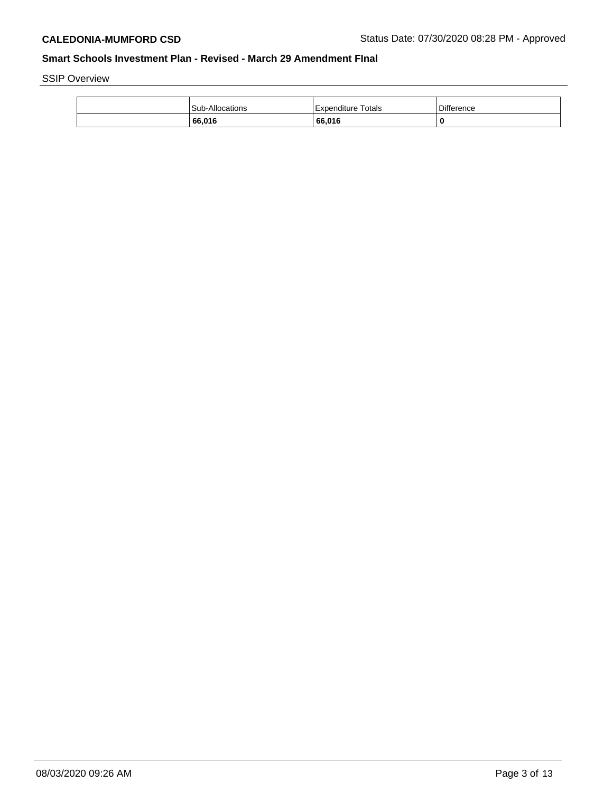SSIP Overview

| <b>Sub-Allocations</b> | Totals<br>l Expenditure | <b>Difference</b> |
|------------------------|-------------------------|-------------------|
| 66,016                 | 66.016                  | 0                 |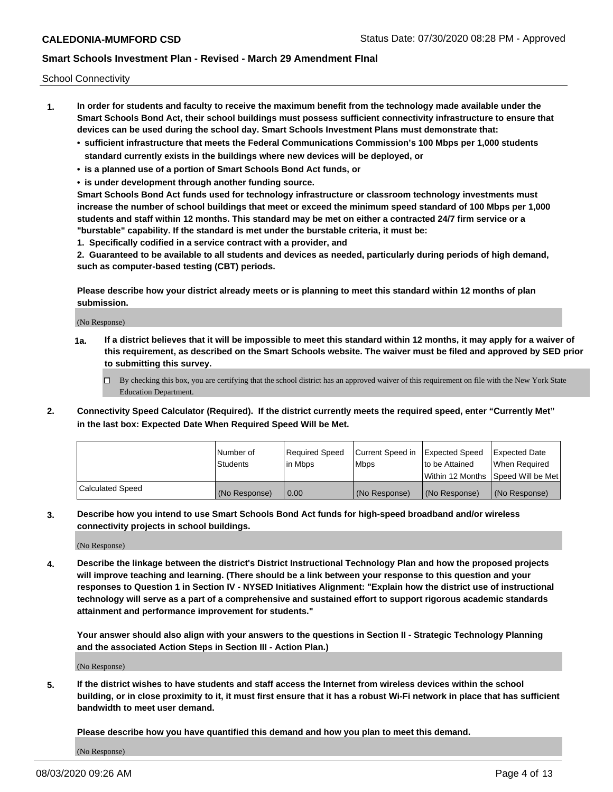School Connectivity

- **1. In order for students and faculty to receive the maximum benefit from the technology made available under the Smart Schools Bond Act, their school buildings must possess sufficient connectivity infrastructure to ensure that devices can be used during the school day. Smart Schools Investment Plans must demonstrate that:**
	- **• sufficient infrastructure that meets the Federal Communications Commission's 100 Mbps per 1,000 students standard currently exists in the buildings where new devices will be deployed, or**
	- **• is a planned use of a portion of Smart Schools Bond Act funds, or**
	- **• is under development through another funding source.**

**Smart Schools Bond Act funds used for technology infrastructure or classroom technology investments must increase the number of school buildings that meet or exceed the minimum speed standard of 100 Mbps per 1,000 students and staff within 12 months. This standard may be met on either a contracted 24/7 firm service or a "burstable" capability. If the standard is met under the burstable criteria, it must be:**

**1. Specifically codified in a service contract with a provider, and**

**2. Guaranteed to be available to all students and devices as needed, particularly during periods of high demand, such as computer-based testing (CBT) periods.**

**Please describe how your district already meets or is planning to meet this standard within 12 months of plan submission.**

(No Response)

**1a. If a district believes that it will be impossible to meet this standard within 12 months, it may apply for a waiver of this requirement, as described on the Smart Schools website. The waiver must be filed and approved by SED prior to submitting this survey.**

 $\Box$  By checking this box, you are certifying that the school district has an approved waiver of this requirement on file with the New York State Education Department.

**2. Connectivity Speed Calculator (Required). If the district currently meets the required speed, enter "Currently Met" in the last box: Expected Date When Required Speed Will be Met.**

|                  | l Number of     | Required Speed | Current Speed in | Expected Speed | Expected Date                        |
|------------------|-----------------|----------------|------------------|----------------|--------------------------------------|
|                  | <b>Students</b> | In Mbps        | <b>Mbps</b>      | to be Attained | When Required                        |
|                  |                 |                |                  |                | Within 12 Months 1Speed Will be Met1 |
| Calculated Speed | (No Response)   | 0.00           | (No Response)    | (No Response)  | l (No Response)                      |

**3. Describe how you intend to use Smart Schools Bond Act funds for high-speed broadband and/or wireless connectivity projects in school buildings.**

(No Response)

**4. Describe the linkage between the district's District Instructional Technology Plan and how the proposed projects will improve teaching and learning. (There should be a link between your response to this question and your responses to Question 1 in Section IV - NYSED Initiatives Alignment: "Explain how the district use of instructional technology will serve as a part of a comprehensive and sustained effort to support rigorous academic standards attainment and performance improvement for students."** 

**Your answer should also align with your answers to the questions in Section II - Strategic Technology Planning and the associated Action Steps in Section III - Action Plan.)**

(No Response)

**5. If the district wishes to have students and staff access the Internet from wireless devices within the school building, or in close proximity to it, it must first ensure that it has a robust Wi-Fi network in place that has sufficient bandwidth to meet user demand.**

**Please describe how you have quantified this demand and how you plan to meet this demand.**

(No Response)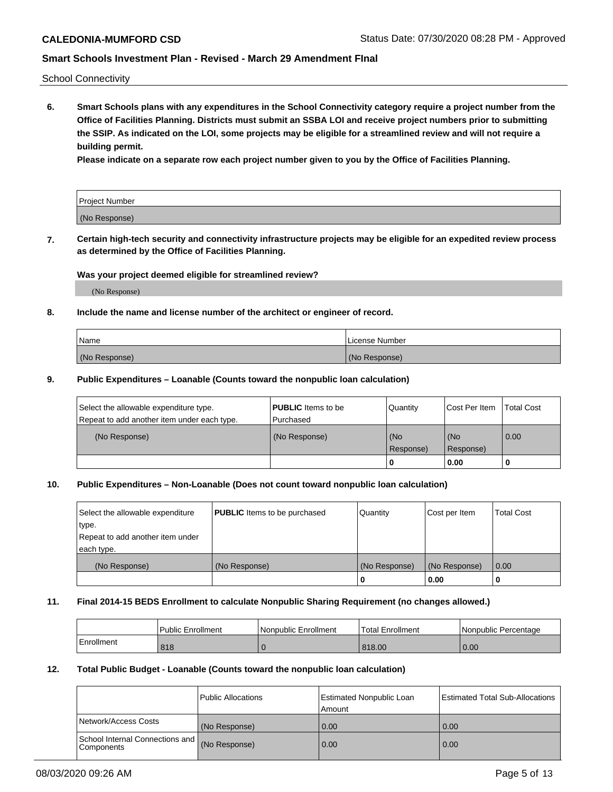School Connectivity

**6. Smart Schools plans with any expenditures in the School Connectivity category require a project number from the Office of Facilities Planning. Districts must submit an SSBA LOI and receive project numbers prior to submitting the SSIP. As indicated on the LOI, some projects may be eligible for a streamlined review and will not require a building permit.**

**Please indicate on a separate row each project number given to you by the Office of Facilities Planning.**

| Project Number |  |
|----------------|--|
| (No Response)  |  |

**7. Certain high-tech security and connectivity infrastructure projects may be eligible for an expedited review process as determined by the Office of Facilities Planning.**

#### **Was your project deemed eligible for streamlined review?**

(No Response)

## **8. Include the name and license number of the architect or engineer of record.**

| Name          | License Number |
|---------------|----------------|
| (No Response) | (No Response)  |

#### **9. Public Expenditures – Loanable (Counts toward the nonpublic loan calculation)**

| Select the allowable expenditure type.<br>Repeat to add another item under each type. | <b>PUBLIC</b> Items to be<br>l Purchased | Quantity           | Cost Per Item    | <b>Total Cost</b> |
|---------------------------------------------------------------------------------------|------------------------------------------|--------------------|------------------|-------------------|
| (No Response)                                                                         | (No Response)                            | l (No<br>Response) | (No<br>Response) | $\overline{0.00}$ |
|                                                                                       |                                          | 0                  | 0.00             |                   |

## **10. Public Expenditures – Non-Loanable (Does not count toward nonpublic loan calculation)**

| Select the allowable expenditure<br>type.<br>Repeat to add another item under<br>each type. | <b>PUBLIC</b> Items to be purchased | Quantity      | Cost per Item | <b>Total Cost</b> |
|---------------------------------------------------------------------------------------------|-------------------------------------|---------------|---------------|-------------------|
| (No Response)                                                                               | (No Response)                       | (No Response) | (No Response) | 0.00              |
|                                                                                             |                                     |               | 0.00          |                   |

#### **11. Final 2014-15 BEDS Enrollment to calculate Nonpublic Sharing Requirement (no changes allowed.)**

|            | Public Enrollment | l Nonpublic Enrollment | <b>Total Enrollment</b> | Nonpublic Percentage |
|------------|-------------------|------------------------|-------------------------|----------------------|
| Enrollment | 818               |                        | 818.00                  | 0.00                 |

#### **12. Total Public Budget - Loanable (Counts toward the nonpublic loan calculation)**

|                                                      | Public Allocations | <b>Estimated Nonpublic Loan</b><br>Amount | Estimated Total Sub-Allocations |
|------------------------------------------------------|--------------------|-------------------------------------------|---------------------------------|
| Network/Access Costs                                 | (No Response)      | 0.00                                      | 0.00                            |
| School Internal Connections and<br><b>Components</b> | (No Response)      | 0.00                                      | 0.00                            |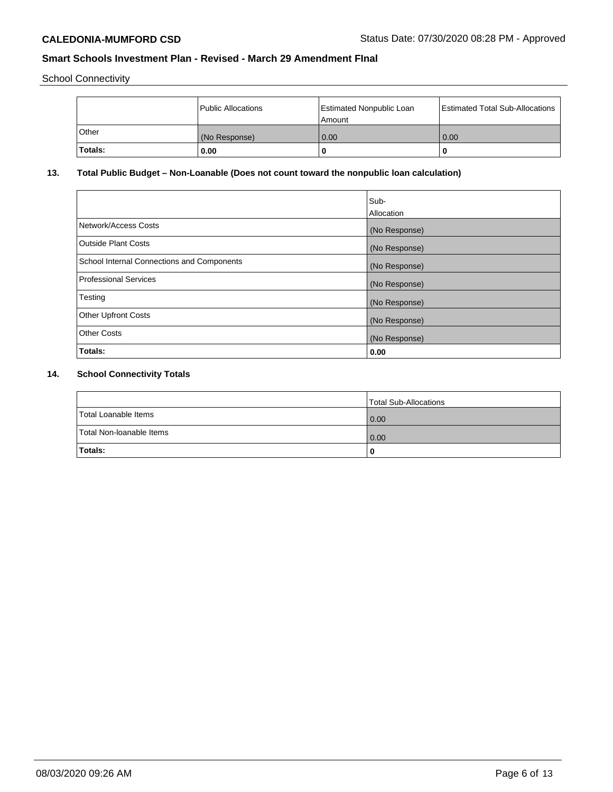School Connectivity

|         | <b>Public Allocations</b> | <b>Estimated Nonpublic Loan</b><br>l Amount i | <b>Estimated Total Sub-Allocations</b> |
|---------|---------------------------|-----------------------------------------------|----------------------------------------|
| Other   | (No Response)             | 0.00                                          | 0.00                                   |
| Totals: | 0.00                      | 0                                             | ш                                      |

# **13. Total Public Budget – Non-Loanable (Does not count toward the nonpublic loan calculation)**

|                                                   | Sub-<br>Allocation |
|---------------------------------------------------|--------------------|
|                                                   |                    |
| Network/Access Costs                              | (No Response)      |
| <b>Outside Plant Costs</b>                        | (No Response)      |
| <b>School Internal Connections and Components</b> | (No Response)      |
| Professional Services                             | (No Response)      |
| Testing                                           | (No Response)      |
| <b>Other Upfront Costs</b>                        | (No Response)      |
| <b>Other Costs</b>                                | (No Response)      |
| <b>Totals:</b>                                    | 0.00               |

# **14. School Connectivity Totals**

|                          | Total Sub-Allocations |
|--------------------------|-----------------------|
| Total Loanable Items     | 0.00                  |
| Total Non-Ioanable Items | 0.00                  |
| Totals:                  |                       |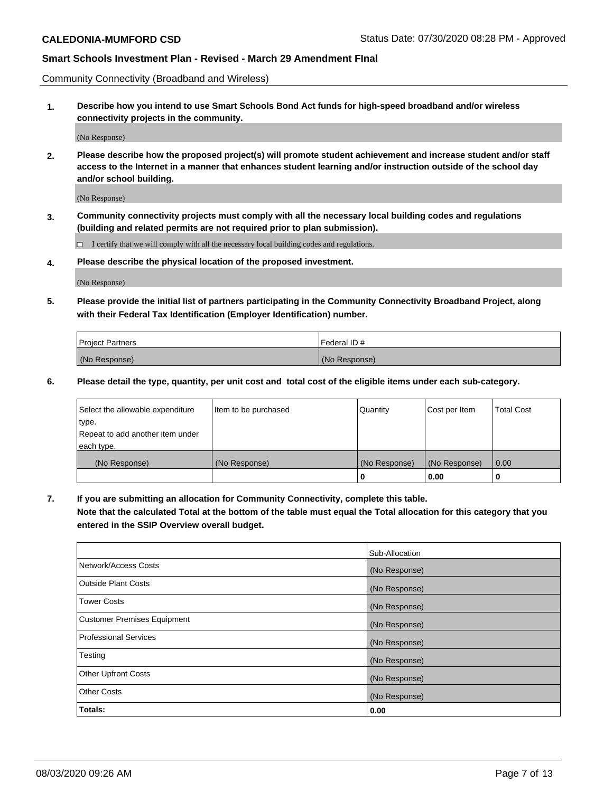Community Connectivity (Broadband and Wireless)

**1. Describe how you intend to use Smart Schools Bond Act funds for high-speed broadband and/or wireless connectivity projects in the community.**

(No Response)

**2. Please describe how the proposed project(s) will promote student achievement and increase student and/or staff access to the Internet in a manner that enhances student learning and/or instruction outside of the school day and/or school building.**

(No Response)

**3. Community connectivity projects must comply with all the necessary local building codes and regulations (building and related permits are not required prior to plan submission).**

 $\Box$  I certify that we will comply with all the necessary local building codes and regulations.

**4. Please describe the physical location of the proposed investment.**

(No Response)

**5. Please provide the initial list of partners participating in the Community Connectivity Broadband Project, along with their Federal Tax Identification (Employer Identification) number.**

| <b>Project Partners</b> | l Federal ID # |
|-------------------------|----------------|
| (No Response)           | (No Response)  |

**6. Please detail the type, quantity, per unit cost and total cost of the eligible items under each sub-category.**

| Select the allowable expenditure | Item to be purchased | Quantity      | Cost per Item | Total Cost |
|----------------------------------|----------------------|---------------|---------------|------------|
| type.                            |                      |               |               |            |
| Repeat to add another item under |                      |               |               |            |
| each type.                       |                      |               |               |            |
| (No Response)                    | (No Response)        | (No Response) | (No Response) | 0.00       |
|                                  |                      | U             | 0.00          | -0         |

**7. If you are submitting an allocation for Community Connectivity, complete this table.**

**Note that the calculated Total at the bottom of the table must equal the Total allocation for this category that you entered in the SSIP Overview overall budget.**

|                                    | Sub-Allocation |
|------------------------------------|----------------|
| Network/Access Costs               | (No Response)  |
| Outside Plant Costs                | (No Response)  |
| <b>Tower Costs</b>                 | (No Response)  |
| <b>Customer Premises Equipment</b> | (No Response)  |
| <b>Professional Services</b>       | (No Response)  |
| Testing                            | (No Response)  |
| <b>Other Upfront Costs</b>         | (No Response)  |
| <b>Other Costs</b>                 | (No Response)  |
| Totals:                            | 0.00           |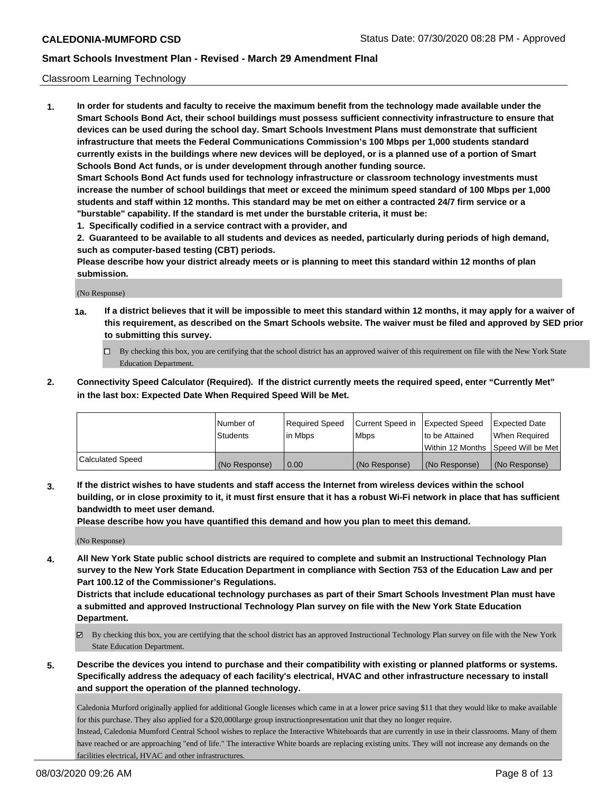## Classroom Learning Technology

**1. In order for students and faculty to receive the maximum benefit from the technology made available under the Smart Schools Bond Act, their school buildings must possess sufficient connectivity infrastructure to ensure that devices can be used during the school day. Smart Schools Investment Plans must demonstrate that sufficient infrastructure that meets the Federal Communications Commission's 100 Mbps per 1,000 students standard currently exists in the buildings where new devices will be deployed, or is a planned use of a portion of Smart Schools Bond Act funds, or is under development through another funding source. Smart Schools Bond Act funds used for technology infrastructure or classroom technology investments must increase the number of school buildings that meet or exceed the minimum speed standard of 100 Mbps per 1,000 students and staff within 12 months. This standard may be met on either a contracted 24/7 firm service or a**

**"burstable" capability. If the standard is met under the burstable criteria, it must be:**

**1. Specifically codified in a service contract with a provider, and**

**2. Guaranteed to be available to all students and devices as needed, particularly during periods of high demand, such as computer-based testing (CBT) periods.**

**Please describe how your district already meets or is planning to meet this standard within 12 months of plan submission.**

(No Response)

- **1a. If a district believes that it will be impossible to meet this standard within 12 months, it may apply for a waiver of this requirement, as described on the Smart Schools website. The waiver must be filed and approved by SED prior to submitting this survey.**
	- By checking this box, you are certifying that the school district has an approved waiver of this requirement on file with the New York State Education Department.
- **2. Connectivity Speed Calculator (Required). If the district currently meets the required speed, enter "Currently Met" in the last box: Expected Date When Required Speed Will be Met.**

|                  | l Number of     | Required Speed | Current Speed in | <b>Expected Speed</b> | <b>Expected Date</b>                |
|------------------|-----------------|----------------|------------------|-----------------------|-------------------------------------|
|                  | <b>Students</b> | l in Mbps      | l Mbps           | to be Attained        | When Required                       |
|                  |                 |                |                  |                       | Within 12 Months  Speed Will be Met |
| Calculated Speed | (No Response)   | 0.00           | (No Response)    | l (No Response)       | (No Response)                       |

**3. If the district wishes to have students and staff access the Internet from wireless devices within the school building, or in close proximity to it, it must first ensure that it has a robust Wi-Fi network in place that has sufficient bandwidth to meet user demand.**

**Please describe how you have quantified this demand and how you plan to meet this demand.**

(No Response)

**4. All New York State public school districts are required to complete and submit an Instructional Technology Plan survey to the New York State Education Department in compliance with Section 753 of the Education Law and per Part 100.12 of the Commissioner's Regulations.**

**Districts that include educational technology purchases as part of their Smart Schools Investment Plan must have a submitted and approved Instructional Technology Plan survey on file with the New York State Education Department.**

- By checking this box, you are certifying that the school district has an approved Instructional Technology Plan survey on file with the New York State Education Department.
- **5. Describe the devices you intend to purchase and their compatibility with existing or planned platforms or systems. Specifically address the adequacy of each facility's electrical, HVAC and other infrastructure necessary to install and support the operation of the planned technology.**

Caledonia Murford originally applied for additional Google licenses which came in at a lower price saving \$11 that they would like to make available for this purchase. They also applied for a \$20,000large group instructionpresentation unit that they no longer require.

Instead, Caledonia Mumford Central School wishes to replace the Interactive Whiteboards that are currently in use in their classrooms. Many of them have reached or are approaching "end of life." The interactive White boards are replacing existing units. They will not increase any demands on the facilities electrical, HVAC and other infrastructures.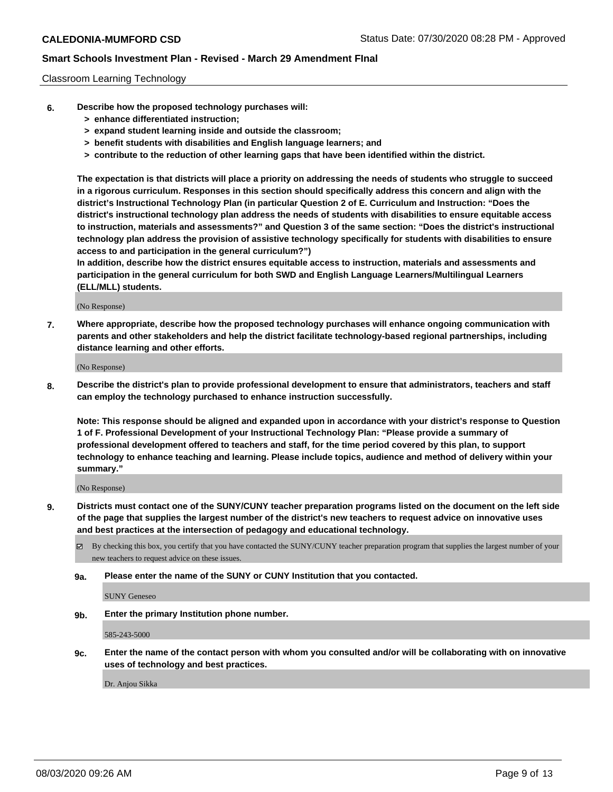## Classroom Learning Technology

- **6. Describe how the proposed technology purchases will:**
	- **> enhance differentiated instruction;**
	- **> expand student learning inside and outside the classroom;**
	- **> benefit students with disabilities and English language learners; and**
	- **> contribute to the reduction of other learning gaps that have been identified within the district.**

**The expectation is that districts will place a priority on addressing the needs of students who struggle to succeed in a rigorous curriculum. Responses in this section should specifically address this concern and align with the district's Instructional Technology Plan (in particular Question 2 of E. Curriculum and Instruction: "Does the district's instructional technology plan address the needs of students with disabilities to ensure equitable access to instruction, materials and assessments?" and Question 3 of the same section: "Does the district's instructional technology plan address the provision of assistive technology specifically for students with disabilities to ensure access to and participation in the general curriculum?")**

**In addition, describe how the district ensures equitable access to instruction, materials and assessments and participation in the general curriculum for both SWD and English Language Learners/Multilingual Learners (ELL/MLL) students.**

(No Response)

**7. Where appropriate, describe how the proposed technology purchases will enhance ongoing communication with parents and other stakeholders and help the district facilitate technology-based regional partnerships, including distance learning and other efforts.**

(No Response)

**8. Describe the district's plan to provide professional development to ensure that administrators, teachers and staff can employ the technology purchased to enhance instruction successfully.**

**Note: This response should be aligned and expanded upon in accordance with your district's response to Question 1 of F. Professional Development of your Instructional Technology Plan: "Please provide a summary of professional development offered to teachers and staff, for the time period covered by this plan, to support technology to enhance teaching and learning. Please include topics, audience and method of delivery within your summary."**

(No Response)

- **9. Districts must contact one of the SUNY/CUNY teacher preparation programs listed on the document on the left side of the page that supplies the largest number of the district's new teachers to request advice on innovative uses and best practices at the intersection of pedagogy and educational technology.**
	- $\boxtimes$  By checking this box, you certify that you have contacted the SUNY/CUNY teacher preparation program that supplies the largest number of your new teachers to request advice on these issues.
	- **9a. Please enter the name of the SUNY or CUNY Institution that you contacted.**

SUNY Geneseo

**9b. Enter the primary Institution phone number.**

585-243-5000

**9c. Enter the name of the contact person with whom you consulted and/or will be collaborating with on innovative uses of technology and best practices.**

Dr. Anjou Sikka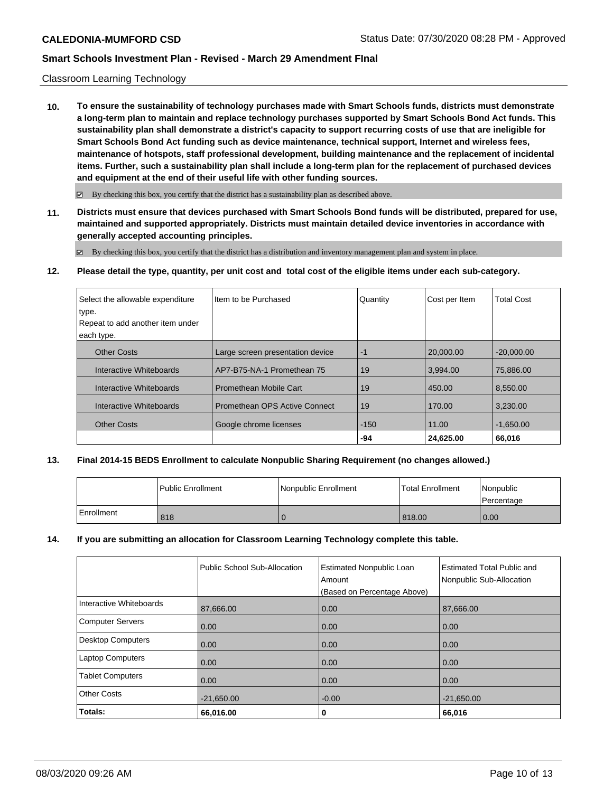#### Classroom Learning Technology

**10. To ensure the sustainability of technology purchases made with Smart Schools funds, districts must demonstrate a long-term plan to maintain and replace technology purchases supported by Smart Schools Bond Act funds. This sustainability plan shall demonstrate a district's capacity to support recurring costs of use that are ineligible for Smart Schools Bond Act funding such as device maintenance, technical support, Internet and wireless fees, maintenance of hotspots, staff professional development, building maintenance and the replacement of incidental items. Further, such a sustainability plan shall include a long-term plan for the replacement of purchased devices and equipment at the end of their useful life with other funding sources.**

 $\boxtimes$  By checking this box, you certify that the district has a sustainability plan as described above.

**11. Districts must ensure that devices purchased with Smart Schools Bond funds will be distributed, prepared for use, maintained and supported appropriately. Districts must maintain detailed device inventories in accordance with generally accepted accounting principles.**

By checking this box, you certify that the district has a distribution and inventory management plan and system in place.

**12. Please detail the type, quantity, per unit cost and total cost of the eligible items under each sub-category.**

| Select the allowable expenditure | Iltem to be Purchased            | Quantity | Cost per Item | <b>Total Cost</b> |
|----------------------------------|----------------------------------|----------|---------------|-------------------|
| type.                            |                                  |          |               |                   |
| Repeat to add another item under |                                  |          |               |                   |
| each type.                       |                                  |          |               |                   |
| <b>Other Costs</b>               | Large screen presentation device | -1       | 20.000.00     | $-20.000.00$      |
| Interactive Whiteboards          | AP7-B75-NA-1 Promethean 75       | 19       | 3.994.00      | 75.886.00         |
| Interactive Whiteboards          | <b>Promethean Mobile Cart</b>    | 19       | 450.00        | 8,550.00          |
| Interactive Whiteboards          | Promethean OPS Active Connect    | 19       | 170.00        | 3.230.00          |
| <b>Other Costs</b>               | Google chrome licenses           | $-150$   | 11.00         | $-1.650.00$       |
|                                  |                                  | $-94$    | 24,625.00     | 66,016            |

## **13. Final 2014-15 BEDS Enrollment to calculate Nonpublic Sharing Requirement (no changes allowed.)**

|            | <b>Public Enrollment</b> | Nonpublic Enrollment | <b>Total Enrollment</b> | Nonpublic<br>Percentage |
|------------|--------------------------|----------------------|-------------------------|-------------------------|
| Enrollment | 818                      |                      | 818.00                  | 0.00                    |

## **14. If you are submitting an allocation for Classroom Learning Technology complete this table.**

|                         | Public School Sub-Allocation | <b>Estimated Nonpublic Loan</b><br>Amount<br>(Based on Percentage Above) | Estimated Total Public and<br>Nonpublic Sub-Allocation |
|-------------------------|------------------------------|--------------------------------------------------------------------------|--------------------------------------------------------|
| Interactive Whiteboards | 87,666.00                    | 0.00                                                                     | 87,666.00                                              |
| <b>Computer Servers</b> | 0.00                         | 0.00                                                                     | 0.00                                                   |
| Desktop Computers       | 0.00                         | 0.00                                                                     | 0.00                                                   |
| <b>Laptop Computers</b> | 0.00                         | 0.00                                                                     | 0.00                                                   |
| <b>Tablet Computers</b> | 0.00                         | 0.00                                                                     | 0.00                                                   |
| <b>Other Costs</b>      | $-21,650.00$                 | $-0.00$                                                                  | $-21,650.00$                                           |
| Totals:                 | 66,016.00                    | 0                                                                        | 66,016                                                 |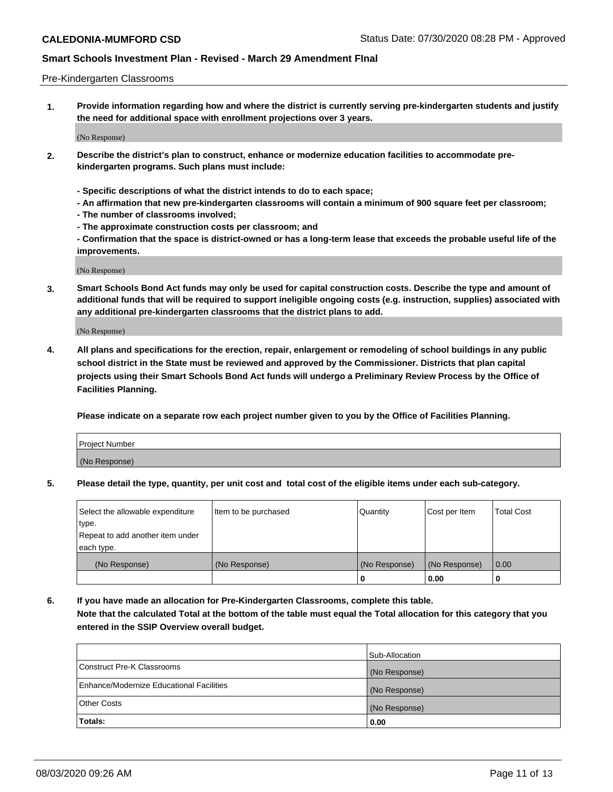#### Pre-Kindergarten Classrooms

**1. Provide information regarding how and where the district is currently serving pre-kindergarten students and justify the need for additional space with enrollment projections over 3 years.**

(No Response)

- **2. Describe the district's plan to construct, enhance or modernize education facilities to accommodate prekindergarten programs. Such plans must include:**
	- **Specific descriptions of what the district intends to do to each space;**
	- **An affirmation that new pre-kindergarten classrooms will contain a minimum of 900 square feet per classroom;**
	- **The number of classrooms involved;**
	- **The approximate construction costs per classroom; and**
	- **Confirmation that the space is district-owned or has a long-term lease that exceeds the probable useful life of the improvements.**

(No Response)

**3. Smart Schools Bond Act funds may only be used for capital construction costs. Describe the type and amount of additional funds that will be required to support ineligible ongoing costs (e.g. instruction, supplies) associated with any additional pre-kindergarten classrooms that the district plans to add.**

(No Response)

**4. All plans and specifications for the erection, repair, enlargement or remodeling of school buildings in any public school district in the State must be reviewed and approved by the Commissioner. Districts that plan capital projects using their Smart Schools Bond Act funds will undergo a Preliminary Review Process by the Office of Facilities Planning.**

**Please indicate on a separate row each project number given to you by the Office of Facilities Planning.**

| Project Number |  |
|----------------|--|
| (No Response)  |  |
|                |  |

**5. Please detail the type, quantity, per unit cost and total cost of the eligible items under each sub-category.**

| Select the allowable expenditure | Item to be purchased | Quantity      | Cost per Item | <b>Total Cost</b> |
|----------------------------------|----------------------|---------------|---------------|-------------------|
| type.                            |                      |               |               |                   |
| Repeat to add another item under |                      |               |               |                   |
| each type.                       |                      |               |               |                   |
| (No Response)                    | (No Response)        | (No Response) | (No Response) | 0.00              |
|                                  |                      | U             | 0.00          |                   |

**6. If you have made an allocation for Pre-Kindergarten Classrooms, complete this table. Note that the calculated Total at the bottom of the table must equal the Total allocation for this category that you entered in the SSIP Overview overall budget.**

|                                          | Sub-Allocation |
|------------------------------------------|----------------|
| Construct Pre-K Classrooms               | (No Response)  |
| Enhance/Modernize Educational Facilities | (No Response)  |
| <b>Other Costs</b>                       | (No Response)  |
| Totals:                                  | 0.00           |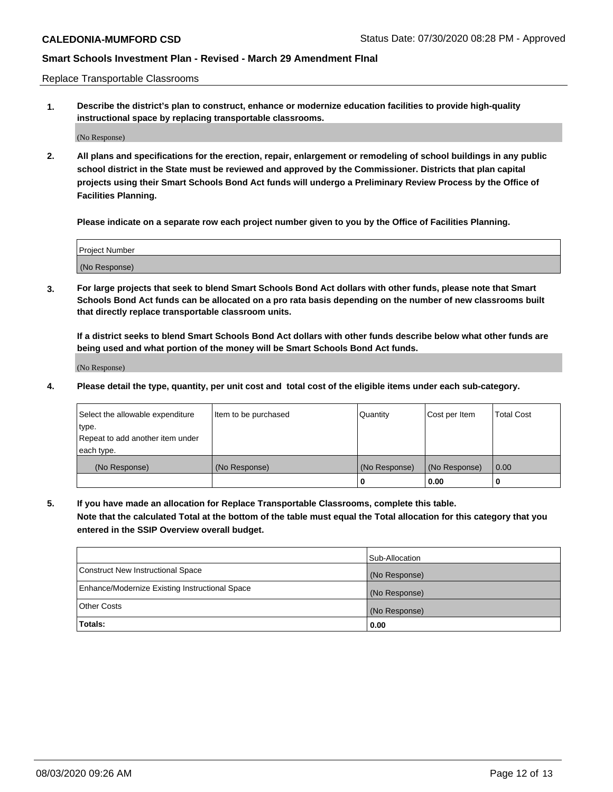Replace Transportable Classrooms

**1. Describe the district's plan to construct, enhance or modernize education facilities to provide high-quality instructional space by replacing transportable classrooms.**

(No Response)

**2. All plans and specifications for the erection, repair, enlargement or remodeling of school buildings in any public school district in the State must be reviewed and approved by the Commissioner. Districts that plan capital projects using their Smart Schools Bond Act funds will undergo a Preliminary Review Process by the Office of Facilities Planning.**

**Please indicate on a separate row each project number given to you by the Office of Facilities Planning.**

| Project Number |  |
|----------------|--|
|                |  |
|                |  |
|                |  |
| (No Response)  |  |
|                |  |
|                |  |

**3. For large projects that seek to blend Smart Schools Bond Act dollars with other funds, please note that Smart Schools Bond Act funds can be allocated on a pro rata basis depending on the number of new classrooms built that directly replace transportable classroom units.**

**If a district seeks to blend Smart Schools Bond Act dollars with other funds describe below what other funds are being used and what portion of the money will be Smart Schools Bond Act funds.**

(No Response)

**4. Please detail the type, quantity, per unit cost and total cost of the eligible items under each sub-category.**

| Select the allowable expenditure | Item to be purchased | Quantity      | Cost per Item | Total Cost |
|----------------------------------|----------------------|---------------|---------------|------------|
| ∣type.                           |                      |               |               |            |
| Repeat to add another item under |                      |               |               |            |
| each type.                       |                      |               |               |            |
| (No Response)                    | (No Response)        | (No Response) | (No Response) | 0.00       |
|                                  |                      | u             | 0.00          |            |

**5. If you have made an allocation for Replace Transportable Classrooms, complete this table. Note that the calculated Total at the bottom of the table must equal the Total allocation for this category that you entered in the SSIP Overview overall budget.**

|                                                | Sub-Allocation |
|------------------------------------------------|----------------|
| Construct New Instructional Space              | (No Response)  |
| Enhance/Modernize Existing Instructional Space | (No Response)  |
| <b>Other Costs</b>                             | (No Response)  |
| Totals:                                        | 0.00           |